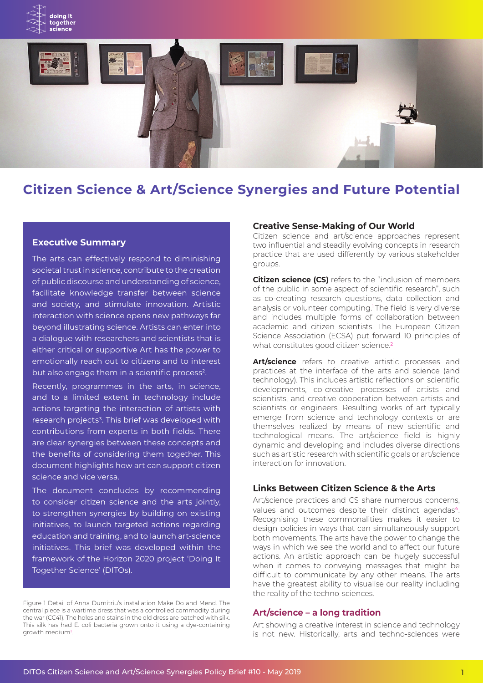



# **Citizen Science & Art/Science Synergies and Future Potential**

#### **Executive Summary**

The arts can effectively respond to diminishing societal trust in science, contribute to the creation of public discourse and understanding of science, facilitate knowledge transfer between science and society, and stimulate innovation. Artistic interaction with science opens new pathways far beyond illustrating science. Artists can enter into a dialogue with researchers and scientists that is either critical or supportive Art has the power to emotionally reach out to citizens and to interest but also engage them in a scientific process<sup>2</sup>.

Recently, programmes in the arts, in science, and to a limited extent in technology include actions targeting the interaction of artists with research projects<sup>3</sup>. This brief was developed with contributions from experts in both fields. There are clear synergies between these concepts and the benefits of considering them together. This document highlights how art can support citizen science and vice versa.

The document concludes by recommending to consider citizen science and the arts jointly, to strengthen synergies by building on existing initiatives, to launch targeted actions regarding education and training, and to launch art-science initiatives. This brief was developed within the framework of the Horizon 2020 project 'Doing It Together Science' (DITOs).

Figure 1 Detail of Anna Dumitriu's installation Make Do and Mend. The central piece is a wartime dress that was a controlled commodity during the war (CC41). The holes and stains in the old dress are patched with silk. This silk has had E. coli bacteria grown onto it using a dye-containing growth medium<sup>1</sup>.

#### **Creative Sense-Making of Our World**

Citizen science and art/science approaches represent two influential and steadily evolving concepts in research practice that are used differently by various stakeholder groups.

**Citizen science (CS)** refers to the "inclusion of members of the public in some aspect of scientific research", such as co-creating research questions, data collection and analysis or volunteer computing.<sup>1</sup>The field is very diverse and includes multiple forms of collaboration between academic and citizen scientists. The European Citizen Science Association (ECSA) put forward 10 principles of what constitutes good citizen science.<sup>2</sup>

**Art/science** refers to creative artistic processes and practices at the interface of the arts and science (and technology). This includes artistic reflections on scientific developments, co-creative processes of artists and scientists, and creative cooperation between artists and scientists or engineers. Resulting works of art typically emerge from science and technology contexts or are themselves realized by means of new scientific and technological means. The art/science field is highly dynamic and developing and includes diverse directions such as artistic research with scientific goals or art/science interaction for innovation.

# **Links Between Citizen Science & the Arts**

Art/science practices and CS share numerous concerns, values and outcomes despite their distinct agendas<sup>4</sup>. Recognising these commonalities makes it easier to design policies in ways that can simultaneously support both movements. The arts have the power to change the ways in which we see the world and to affect our future actions. An artistic approach can be hugely successful when it comes to conveying messages that might be difficult to communicate by any other means. The arts have the greatest ability to visualise our reality including the reality of the techno-sciences.

#### **Art/science – a long tradition**

Art showing a creative interest in science and technology is not new. Historically, arts and techno-sciences were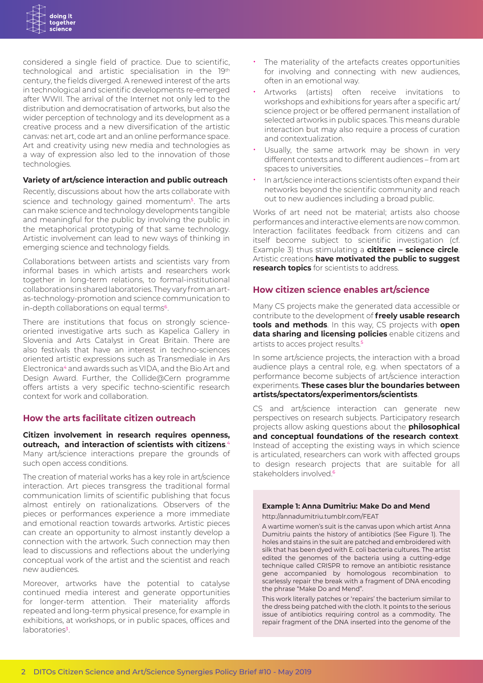considered a single field of practice. Due to scientific, technological and artistic specialisation in the 19th century, the fields diverged. A renewed interest of the arts in technological and scientific developments re-emerged after WWII. The arrival of the Internet not only led to the distribution and democratisation of artworks, but also the wider perception of technology and its development as a creative process and a new diversification of the artistic canvas: net art, code art and an online performance space. Art and creativity using new media and technologies as a way of expression also led to the innovation of those technologies.

#### **Variety of art/science interaction and public outreach**

Recently, discussions about how the arts collaborate with science and technology gained momentum<sup>5</sup>. The arts can make science and technology developments tangible and meaningful for the public by involving the public in the metaphorical prototyping of that same technology. Artistic involvement can lead to new ways of thinking in emerging science and technology fields.

Collaborations between artists and scientists vary from informal bases in which artists and researchers work together in long-term relations, to formal-institutional collaborations in shared laboratories. They vary from an artas-technology-promotion and science communication to in-depth collaborations on equal terms<sup>6</sup>.

There are institutions that focus on strongly scienceoriented investigative arts such as Kapelica Gallery in Slovenia and Arts Catalyst in Great Britain. There are also festivals that have an interest in techno-sciences oriented artistic expressions such as Transmediale in Ars Electronica<sup>4</sup> and awards such as VIDA, and the Bio Art and Design Award. Further, the Collide@Cern programme offers artists a very specific techno-scientific research context for work and collaboration.

#### **How the arts facilitate citizen outreach**

**Citizen involvement in research requires openness, outreach, and interaction of scientists with citizens**. 4 Many art/science interactions prepare the grounds of such open access conditions.

The creation of material works has a key role in art/science interaction. Art pieces transgress the traditional formal communication limits of scientific publishing that focus almost entirely on rationalizations. Observers of the pieces or performances experience a more immediate and emotional reaction towards artworks. Artistic pieces can create an opportunity to almost instantly develop a connection with the artwork. Such connection may then lead to discussions and reflections about the underlying conceptual work of the artist and the scientist and reach new audiences.

Moreover, artworks have the potential to catalyse continued media interest and generate opportunities for longer-term attention. Their materiality affords repeated and long-term physical presence, for example in exhibitions, at workshops, or in public spaces, offices and laboratories<sup>3</sup>

- The materiality of the artefacts creates opportunities for involving and connecting with new audiences, often in an emotional way.
- Artworks (artists) often receive invitations to workshops and exhibitions for years after a specific art/ science project or be offered permanent installation of selected artworks in public spaces. This means durable interaction but may also require a process of curation and contextualization.
- Usually, the same artwork may be shown in very different contexts and to different audiences – from art spaces to universities.
- In art/science interactions scientists often expand their networks beyond the scientific community and reach out to new audiences including a broad public.

Works of art need not be material; artists also choose performances and interactive elements are now common. Interaction facilitates feedback from citizens and can itself become subject to scientific investigation (cf. Example 3) thus stimulating a **cititzen – science circle**. Artistic creations **have motivated the public to suggest research topics** for scientists to address.

# **How citizen science enables art/science**

Many CS projects make the generated data accessible or contribute to the development of **freely usable research tools and methods**. In this way, CS projects with **open data sharing and licensing policies** enable citizens and artists to acces project results.<sup>5</sup>

In some art/science projects, the interaction with a broad audience plays a central role, e.g. when spectators of a performance become subjects of art/science interaction experiments. **These cases blur the boundaries between artists/spectators/experimentors/scientists**.

CS and art/science interaction can generate new perspectives on research subjects. Participatory research projects allow asking questions about the **philosophical and conceptual foundations of the research context**. Instead of accepting the existing ways in which science is articulated, researchers can work with affected groups to design research projects that are suitable for all stakeholders involved<sup>6</sup>

# **Example 1: Anna Dumitriu: Make Do and Mend**

http://annadumitriu.tumblr.com/FEAT

A wartime women's suit is the canvas upon which artist Anna Dumitriu paints the history of antibiotics (See Figure 1). The holes and stains in the suit are patched and embroidered with silk that has been dyed with E. coli bacteria cultures. The artist edited the genomes of the bacteria using a cutting-edge technique called CRISPR to remove an antibiotic resistance gene accompanied by homologous recombination to scarlessly repair the break with a fragment of DNA encoding the phrase "Make Do and Mend".

This work literally patches or 'repairs' the bacterium similar to the dress being patched with the cloth. It points to the serious issue of antibiotics requiring control as a commodity. The repair fragment of the DNA inserted into the genome of the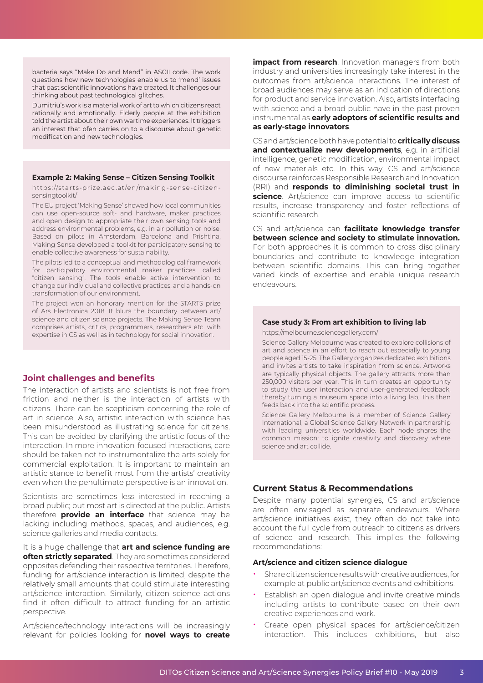bacteria says "Make Do and Mend" in ASCII code. The work questions how new technologies enable us to 'mend' issues that past scientific innovations have created. It challenges our thinking about past technological glitches.

Dumitriu's work is a material work of art to which citizens react rationally and emotionally. Elderly people at the exhibition told the artist about their own wartime experiences. It triggers an interest that ofen carries on to a discourse about genetic modification and new technologies.

#### **Example 2: Making Sense – Citizen Sensing Toolkit**

https://starts-prize.aec.at/en/making-sense-citizensensingtoolkit/

The EU project 'Making Sense' showed how local communities can use open-source soft- and hardware, maker practices and open design to appropriate their own sensing tools and address environmental problems, e.g. in air pollution or noise. Based on pilots in Amsterdam, Barcelona and Prishtina, Making Sense developed a toolkit for participatory sensing to enable collective awareness for sustainability.

The pilots led to a conceptual and methodological framework for participatory environmental maker practices, called "citizen sensing". The tools enable active intervention to change our individual and collective practices, and a hands-on transformation of our environment.

The project won an honorary mention for the STARTS prize of Ars Electronica 2018. It blurs the boundary between art/ science and citizen science projects. The Making Sense Team comprises artists, critics, programmers, researchers etc. with expertise in CS as well as in technology for social innovation.

### **Joint challenges and benefits**

The interaction of artists and scientists is not free from friction and neither is the interaction of artists with citizens. There can be scepticism concerning the role of art in science. Also, artistic interaction with science has been misunderstood as illustrating science for citizens. This can be avoided by clarifying the artistic focus of the interaction. In more innovation-focused interactions, care should be taken not to instrumentalize the arts solely for commercial exploitation. It is important to maintain an artistic stance to benefit most from the artists' creativity even when the penultimate perspective is an innovation.

Scientists are sometimes less interested in reaching a broad public; but most art is directed at the public. Artists therefore **provide an interface** that science may be lacking including methods, spaces, and audiences, e.g. science galleries and media contacts.

It is a huge challenge that **art and science funding are often strictly separated**. They are sometimes considered opposites defending their respective territories. Therefore, funding for art/science interaction is limited, despite the relatively small amounts that could stimulate interesting art/science interaction. Similarly, citizen science actions find it often difficult to attract funding for an artistic perspective.

Art/science/technology interactions will be increasingly relevant for policies looking for **novel ways to create**  **impact from research**. Innovation managers from both industry and universities increasingly take interest in the outcomes from art/science interactions. The interest of broad audiences may serve as an indication of directions for product and service innovation. Also, artists interfacing with science and a broad public have in the past proven instrumental as **early adoptors of scientific results and as early-stage innovators**.

CS and art/science both have potential to **critically discuss**  and contextualize new developments, e.g. in artificial intelligence, genetic modification, environmental impact of new materials etc. In this way, CS and art/science discourse reinforces Responsible Research and Innovation (RRI) and **responds to diminishing societal trust in science**. Art/science can improve access to scientific results, increase transparency and foster reflections of scientific research.

CS and art/science can **facilitate knowledge transfer between science and society to stimulate innovation.**  For both approaches it is common to cross disciplinary boundaries and contribute to knowledge integration between scientific domains. This can bring together varied kinds of expertise and enable unique research endeavours.

#### **Case study 3: From art exhibition to living lab**

https://melbourne.sciencegallery.com/

Science Gallery Melbourne was created to explore collisions of art and science in an effort to reach out especially to young people aged 15-25. The Gallery organizes dedicated exhibitions and invites artists to take inspiration from science. Artworks are typically physical objects. The gallery attracts more than 250,000 visitors per year. This in turn creates an opportunity to study the user interaction and user-generated feedback, thereby turning a museum space into a living lab. This then feeds back into the scientific process.

Science Gallery Melbourne is a member of Science Gallery International, a Global Science Gallery Network in partnership with leading universities worldwide. Each node shares the common mission: to ignite creativity and discovery where science and art collide.

### **Current Status & Recommendations**

Despite many potential synergies, CS and art/science are often envisaged as separate endeavours. Where art/science initiatives exist, they often do not take into account the full cycle from outreach to citizens as drivers of science and research. This implies the following recommendations:

#### **Art/science and citizen science dialogue**

- Share citizen science results with creative audiences, for example at public art/science events and exhibitions.
- Establish an open dialogue and invite creative minds including artists to contribute based on their own creative experiences and work.
- Create open physical spaces for art/science/citizen interaction. This includes exhibitions, but also